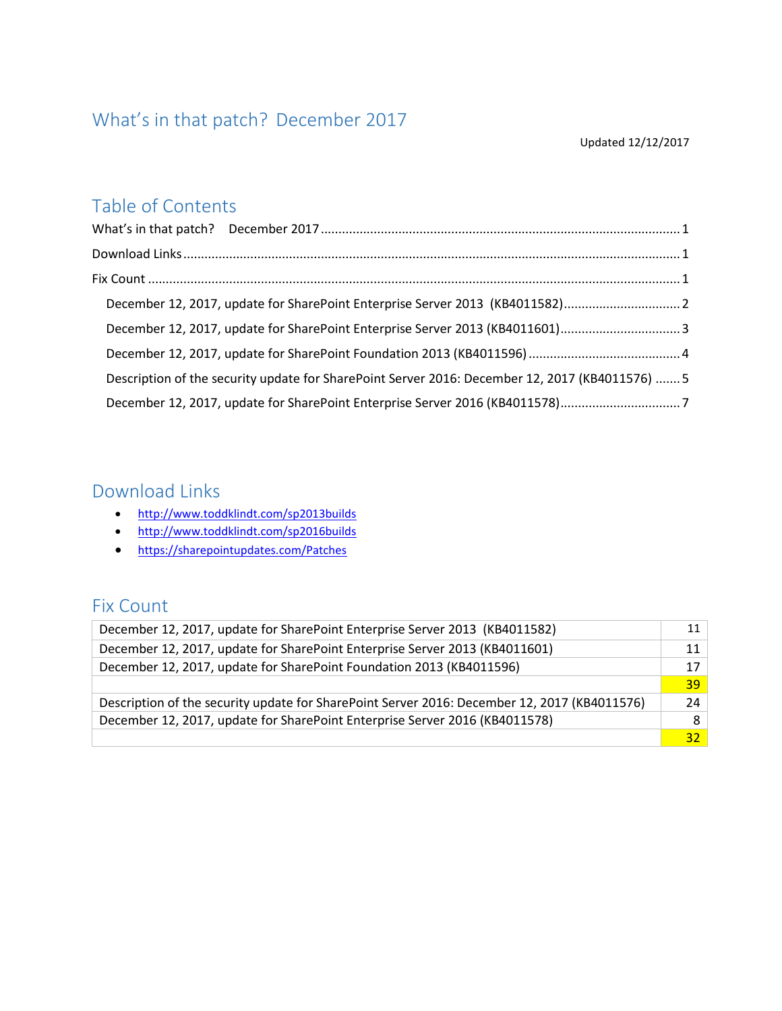# <span id="page-0-0"></span>What's in that patch? December 2017

#### Updated 12/12/2017

## Table of Contents

| December 12, 2017, update for SharePoint Enterprise Server 2013 (KB4011582)2                    |  |
|-------------------------------------------------------------------------------------------------|--|
| December 12, 2017, update for SharePoint Enterprise Server 2013 (KB4011601)3                    |  |
|                                                                                                 |  |
| Description of the security update for SharePoint Server 2016: December 12, 2017 (KB4011576)  5 |  |
| December 12, 2017, update for SharePoint Enterprise Server 2016 (KB4011578)7                    |  |

## <span id="page-0-1"></span>Download Links

- <http://www.toddklindt.com/sp2013builds>
- <http://www.toddklindt.com/sp2016builds>
- <https://sharepointupdates.com/Patches>

## <span id="page-0-2"></span>Fix Count

<span id="page-0-3"></span>

| December 12, 2017, update for SharePoint Enterprise Server 2013 (KB4011582)                  |                 |  |
|----------------------------------------------------------------------------------------------|-----------------|--|
| December 12, 2017, update for SharePoint Enterprise Server 2013 (KB4011601)                  |                 |  |
| December 12, 2017, update for SharePoint Foundation 2013 (KB4011596)                         |                 |  |
|                                                                                              | 39 <sup>1</sup> |  |
| Description of the security update for SharePoint Server 2016: December 12, 2017 (KB4011576) |                 |  |
| December 12, 2017, update for SharePoint Enterprise Server 2016 (KB4011578)                  |                 |  |
|                                                                                              | 32 <sub>1</sub> |  |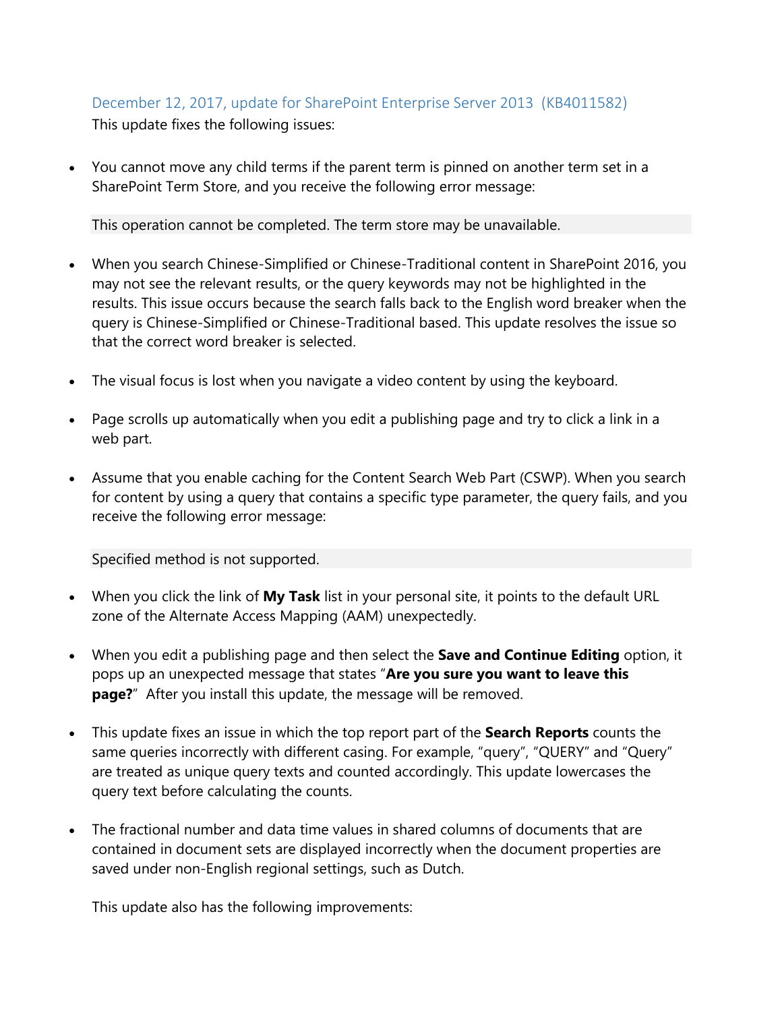#### December 12, 2017, update for SharePoint Enterprise Server 2013 (KB4011582) This update fixes the following issues:

• You cannot move any child terms if the parent term is pinned on another term set in a SharePoint Term Store, and you receive the following error message:

This operation cannot be completed. The term store may be unavailable.

- When you search Chinese-Simplified or Chinese-Traditional content in SharePoint 2016, you may not see the relevant results, or the query keywords may not be highlighted in the results. This issue occurs because the search falls back to the English word breaker when the query is Chinese-Simplified or Chinese-Traditional based. This update resolves the issue so that the correct word breaker is selected.
- The visual focus is lost when you navigate a video content by using the keyboard.
- Page scrolls up automatically when you edit a publishing page and try to click a link in a web part.
- Assume that you enable caching for the Content Search Web Part (CSWP). When you search for content by using a query that contains a specific type parameter, the query fails, and you receive the following error message:

Specified method is not supported.

- When you click the link of **My Task** list in your personal site, it points to the default URL zone of the Alternate Access Mapping (AAM) unexpectedly.
- When you edit a publishing page and then select the **Save and Continue Editing** option, it pops up an unexpected message that states "**Are you sure you want to leave this page?**" After you install this update, the message will be removed.
- This update fixes an issue in which the top report part of the **Search Reports** counts the same queries incorrectly with different casing. For example, "query", "QUERY" and "Query" are treated as unique query texts and counted accordingly. This update lowercases the query text before calculating the counts.
- The fractional number and data time values in shared columns of documents that are contained in document sets are displayed incorrectly when the document properties are saved under non-English regional settings, such as Dutch.

This update also has the following improvements: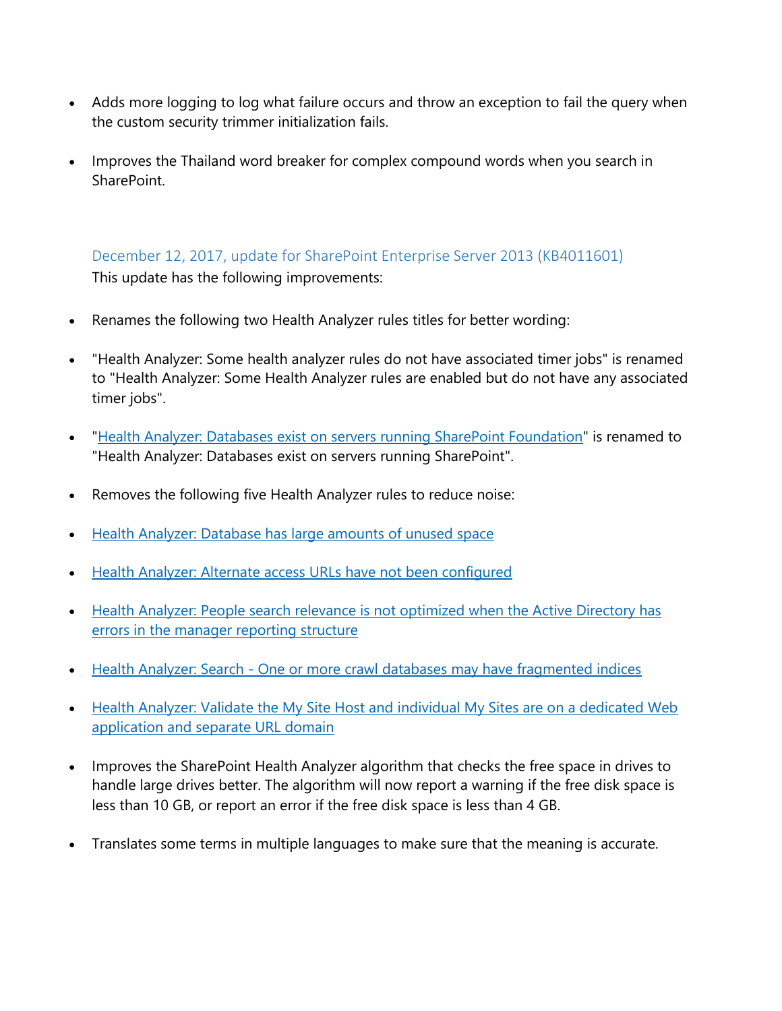- Adds more logging to log what failure occurs and throw an exception to fail the query when the custom security trimmer initialization fails.
- Improves the Thailand word breaker for complex compound words when you search in SharePoint.

<span id="page-2-0"></span>December 12, 2017, update for SharePoint Enterprise Server 2013 (KB4011601) This update has the following improvements:

- Renames the following two Health Analyzer rules titles for better wording:
- "Health Analyzer: Some health analyzer rules do not have associated timer jobs" is renamed to "Health Analyzer: Some Health Analyzer rules are enabled but do not have any associated timer jobs".
- "Health Analyzer: [Databases exist on servers running SharePoint Foundation"](https://technet.microsoft.com/en-us/library/hh564124(v=office.15).aspx) is renamed to "Health Analyzer: Databases exist on servers running SharePoint".
- Removes the following five Health Analyzer rules to reduce noise:
- [Health Analyzer: Database has large amounts of unused space](https://technet.microsoft.com/en-us/library/hh564121(v=office.16).aspx)
- [Health Analyzer: Alternate access URLs have not been configured](https://technet.microsoft.com/en-us/library/hh397417(v=office.16).aspx)
- [Health Analyzer: People search relevance is not optimized when the Active Directory has](https://technet.microsoft.com/en-us/library/jj219685(v=office.16).aspx)  [errors in the manager reporting structure](https://technet.microsoft.com/en-us/library/jj219685(v=office.16).aspx)
- Health Analyzer: Search [One or more crawl databases may have fragmented indices](https://technet.microsoft.com/en-us/library/ff805060(v=office.16).aspx)
- Health Analyzer: Validate the My Site Host and individual My Sites are on a dedicated Web [application and separate URL domain](https://technet.microsoft.com/en-us/library/ff805086(v=office.16).aspx)
- Improves the SharePoint Health Analyzer algorithm that checks the free space in drives to handle large drives better. The algorithm will now report a warning if the free disk space is less than 10 GB, or report an error if the free disk space is less than 4 GB.
- Translates some terms in multiple languages to make sure that the meaning is accurate.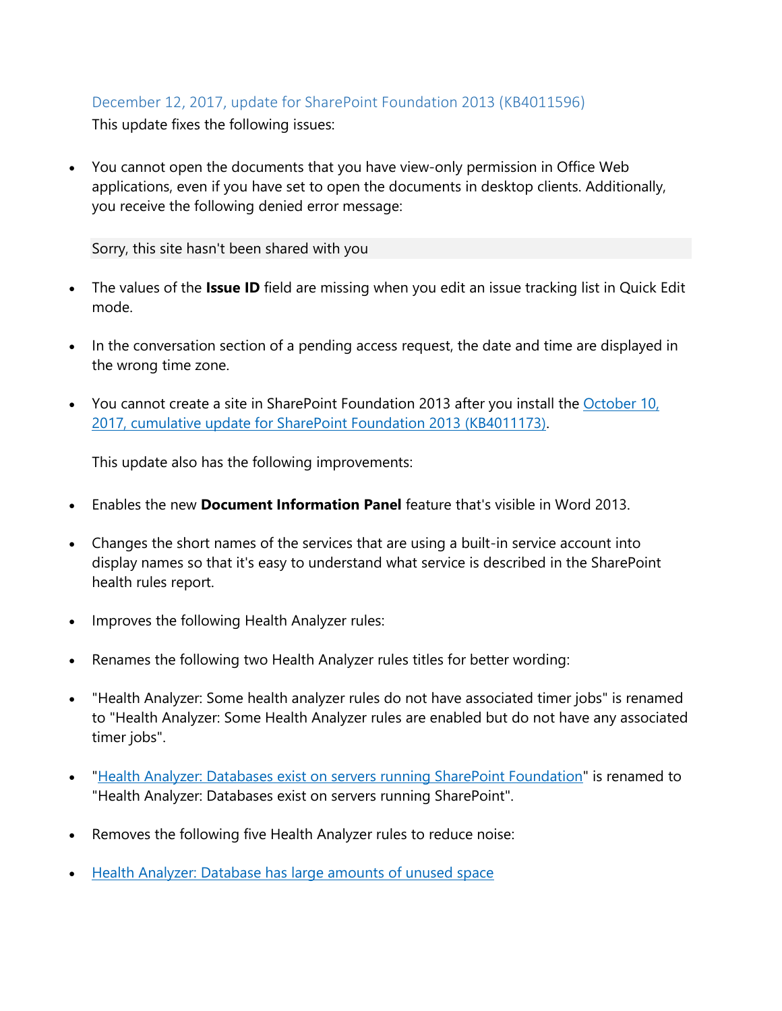#### <span id="page-3-0"></span>December 12, 2017, update for SharePoint Foundation 2013 (KB4011596) This update fixes the following issues:

• You cannot open the documents that you have view-only permission in Office Web applications, even if you have set to open the documents in desktop clients. Additionally, you receive the following denied error message:

Sorry, this site hasn't been shared with you

- The values of the **Issue ID** field are missing when you edit an issue tracking list in Quick Edit mode.
- In the conversation section of a pending access request, the date and time are displayed in the wrong time zone.
- You cannot create a site in SharePoint Foundation 2013 after you install the October 10, [2017, cumulative update for SharePoint Foundation 2013 \(KB4011173\).](https://support.microsoft.com/en-us/help/4011173/october-10-2017-cumulative-update-for-sharepoint-foundation-2013)

This update also has the following improvements:

- Enables the new **Document Information Panel** feature that's visible in Word 2013.
- Changes the short names of the services that are using a built-in service account into display names so that it's easy to understand what service is described in the SharePoint health rules report.
- Improves the following Health Analyzer rules:
- Renames the following two Health Analyzer rules titles for better wording:
- "Health Analyzer: Some health analyzer rules do not have associated timer jobs" is renamed to "Health Analyzer: Some Health Analyzer rules are enabled but do not have any associated timer jobs".
- ["Health Analyzer: Databases exist on servers running SharePoint Foundation"](https://technet.microsoft.com/en-us/library/hh564124(v=office.15).aspx) is renamed to "Health Analyzer: Databases exist on servers running SharePoint".
- Removes the following five Health Analyzer rules to reduce noise:
- [Health Analyzer: Database has large amounts of unused space](https://technet.microsoft.com/en-us/library/hh564121(v=office.16).aspx)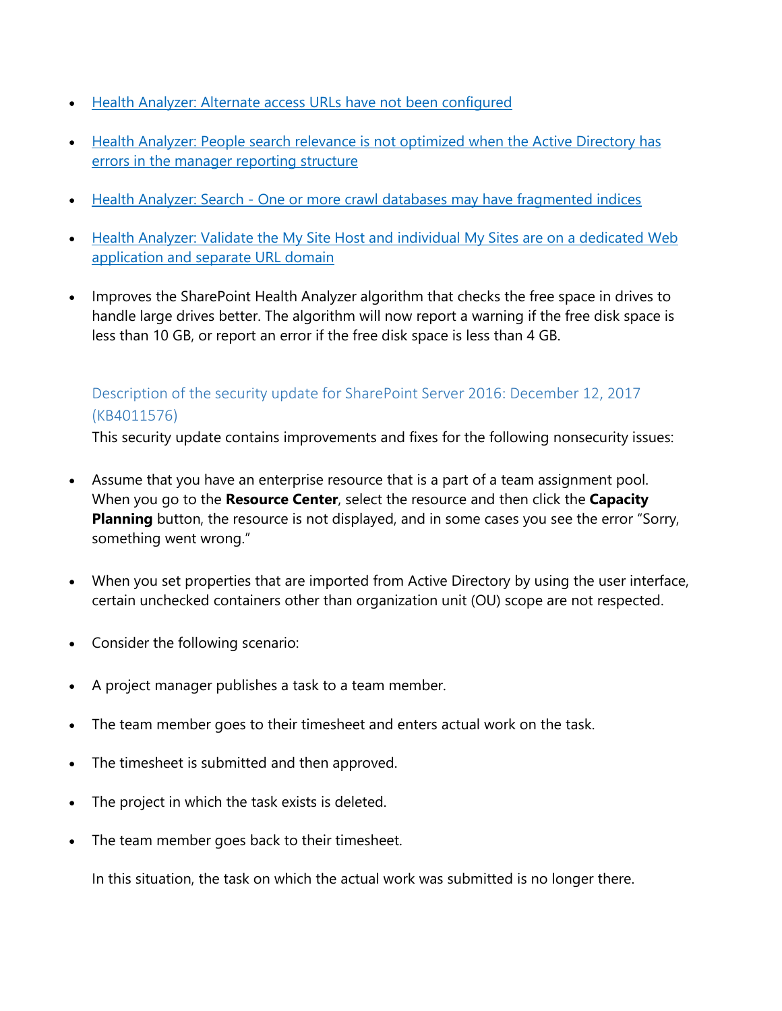- [Health Analyzer: Alternate access URLs have not been configured](https://technet.microsoft.com/en-us/library/hh397417(v=office.16).aspx)
- [Health Analyzer: People search relevance is not optimized when the Active Directory has](https://technet.microsoft.com/en-us/library/jj219685(v=office.16).aspx)  [errors in the manager reporting structure](https://technet.microsoft.com/en-us/library/jj219685(v=office.16).aspx)
- Health Analyzer: Search [One or more crawl databases may have fragmented indices](https://technet.microsoft.com/en-us/library/ff805060(v=office.16).aspx)
- Health Analyzer: Validate the My Site Host and individual My Sites are on a dedicated Web [application and separate URL domain](https://technet.microsoft.com/en-us/library/ff805086(v=office.16).aspx)
- Improves the SharePoint Health Analyzer algorithm that checks the free space in drives to handle large drives better. The algorithm will now report a warning if the free disk space is less than 10 GB, or report an error if the free disk space is less than 4 GB.

#### <span id="page-4-0"></span>Description of the security update for SharePoint Server 2016: December 12, 2017 (KB4011576)

This security update contains improvements and fixes for the following nonsecurity issues:

- Assume that you have an enterprise resource that is a part of a team assignment pool. When you go to the **Resource Center**, select the resource and then click the **Capacity Planning** button, the resource is not displayed, and in some cases you see the error "Sorry, something went wrong."
- When you set properties that are imported from Active Directory by using the user interface, certain unchecked containers other than organization unit (OU) scope are not respected.
- Consider the following scenario:
- A project manager publishes a task to a team member.
- The team member goes to their timesheet and enters actual work on the task.
- The timesheet is submitted and then approved.
- The project in which the task exists is deleted.
- The team member goes back to their timesheet.

In this situation, the task on which the actual work was submitted is no longer there.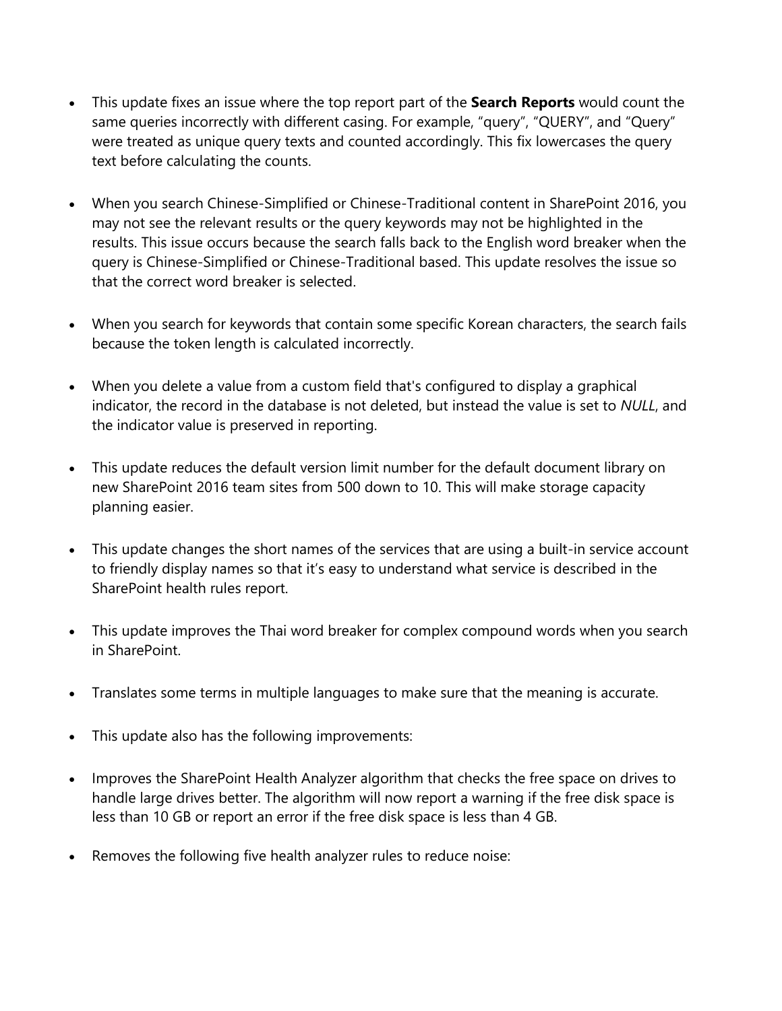- This update fixes an issue where the top report part of the **Search Reports** would count the same queries incorrectly with different casing. For example, "query", "QUERY", and "Query" were treated as unique query texts and counted accordingly. This fix lowercases the query text before calculating the counts.
- When you search Chinese-Simplified or Chinese-Traditional content in SharePoint 2016, you may not see the relevant results or the query keywords may not be highlighted in the results. This issue occurs because the search falls back to the English word breaker when the query is Chinese-Simplified or Chinese-Traditional based. This update resolves the issue so that the correct word breaker is selected.
- When you search for keywords that contain some specific Korean characters, the search fails because the token length is calculated incorrectly.
- When you delete a value from a custom field that's configured to display a graphical indicator, the record in the database is not deleted, but instead the value is set to *NULL*, and the indicator value is preserved in reporting.
- This update reduces the default version limit number for the default document library on new SharePoint 2016 team sites from 500 down to 10. This will make storage capacity planning easier.
- This update changes the short names of the services that are using a built-in service account to friendly display names so that it's easy to understand what service is described in the SharePoint health rules report.
- This update improves the Thai word breaker for complex compound words when you search in SharePoint.
- Translates some terms in multiple languages to make sure that the meaning is accurate.
- This update also has the following improvements:
- Improves the SharePoint Health Analyzer algorithm that checks the free space on drives to handle large drives better. The algorithm will now report a warning if the free disk space is less than 10 GB or report an error if the free disk space is less than 4 GB.
- Removes the following five health analyzer rules to reduce noise: